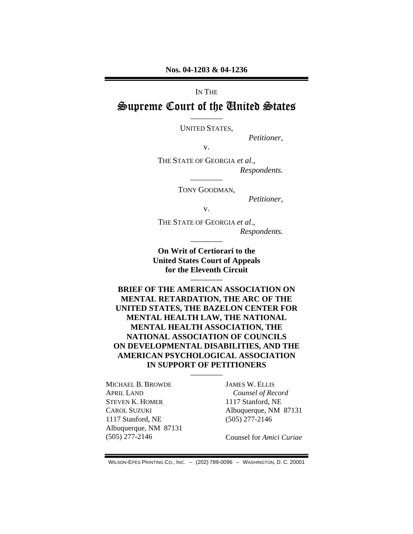#### IN THE

# Supreme Court of the United States

———— UNITED STATES,

*Petitioner*,

v.

THE STATE OF GEORGIA *et al*., *Respondents.* 

> ———— TONY GOODMAN,

> > *Petitioner*,

v.

THE STATE OF GEORGIA *et al*., *Respondents.*  ————

**On Writ of Certiorari to the United States Court of Appeals for the Eleventh Circuit** 

————

**BRIEF OF THE AMERICAN ASSOCIATION ON MENTAL RETARDATION, THE ARC OF THE UNITED STATES, THE BAZELON CENTER FOR MENTAL HEALTH LAW, THE NATIONAL MENTAL HEALTH ASSOCIATION, THE NATIONAL ASSOCIATION OF COUNCILS ON DEVELOPMENTAL DISABILITIES, AND THE AMERICAN PSYCHOLOGICAL ASSOCIATION IN SUPPORT OF PETITIONERS** 

————

MICHAEL B. BROWDE APRIL LAND STEVEN K. HOMER CAROL SUZUKI 1117 Stanford, NE Albuquerque, NM 87131 (505) 277-2146

JAMES W. ELLIS *Counsel of Record*  1117 Stanford, NE Albuquerque, NM 87131 (505) 277-2146

Counsel for *Amici Curiae*

WILSON-EPES PRINTING CO., INC. – (202) 789-0096 – WASHINGTON, D. C. 20001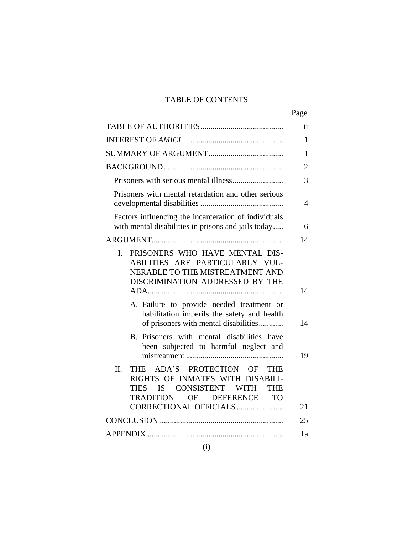## TABLE OF CONTENTS

|                                                                                                                                                                                 | Page           |
|---------------------------------------------------------------------------------------------------------------------------------------------------------------------------------|----------------|
|                                                                                                                                                                                 | ij             |
|                                                                                                                                                                                 | 1              |
|                                                                                                                                                                                 | 1              |
|                                                                                                                                                                                 | $\overline{2}$ |
|                                                                                                                                                                                 | 3              |
| Prisoners with mental retardation and other serious                                                                                                                             | 4              |
| Factors influencing the incarceration of individuals<br>with mental disabilities in prisons and jails today                                                                     | 6              |
|                                                                                                                                                                                 | 14             |
| PRISONERS WHO HAVE MENTAL DIS-<br>$\mathbf{I}$ .<br>ABILITIES ARE PARTICULARLY VUL-<br>NERABLE TO THE MISTREATMENT AND<br>DISCRIMINATION ADDRESSED BY THE                       | 14             |
| A. Failure to provide needed treatment or<br>habilitation imperils the safety and health<br>of prisoners with mental disabilities                                               | 14             |
| B. Prisoners with mental disabilities have<br>been subjected to harmful neglect and                                                                                             | 19             |
| II.<br>ADA'S PROTECTION OF THE<br><b>THE</b><br>RIGHTS OF INMATES WITH DISABILI-<br><b>IS</b><br>CONSISTENT<br>TIES<br>WITH<br>THE<br>TRADITION<br>OF<br><b>DEFERENCE</b><br>TO |                |
| CORRECTIONAL OFFICIALS                                                                                                                                                          | 21             |
|                                                                                                                                                                                 | 25             |
|                                                                                                                                                                                 | 1a             |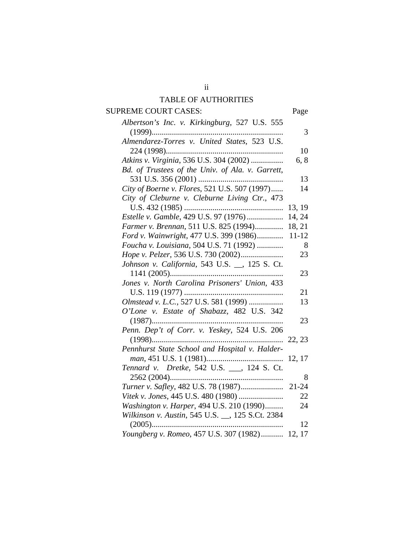#### TABLE OF AUTHORITIES

SUPREME COURT CASES: Page *Albertson's Inc. v. Kirkingburg*, 527 U.S. 555 (1999)................................................................. 3 *Almendarez-Torres v. United States*, 523 U.S. 224 (1998).......................................................... 10 *Atkins v. Virginia*, 536 U.S. 304 (2002) ................ 6, 8 *Bd. of Trustees of the Univ. of Ala. v. Garrett*, 531 U.S. 356 (2001) .......................................... 13 *City of Boerne v. Flores*, 521 U.S. 507 (1997)...... 14 *City of Cleburne v. Cleburne Living Ctr.*, 473 U.S. 432 (1985) ................................................. 13, 19 *Estelle v. Gamble*, 429 U.S. 97 (1976) .................. 14, 24 *Farmer v. Brennan*, 511 U.S. 825 (1994).............. 18, 21 *Ford v. Wainwright*, 477 U.S. 399 (1986)............. 11-12 *Foucha v. Louisiana*, 504 U.S. 71 (1992) ............. 8 *Hope v. Pelzer*, 536 U.S. 730 (2002)..................... 23 *Johnson v. California*, 543 U.S. \_\_, 125 S. Ct. 1141 (2005)........................................................ 23 *Jones v. North Carolina Prisoners' Union*, 433 U.S. 119 (1977) ................................................. 21 *Olmstead v. L.C.*, 527 U.S. 581 (1999) ................. 13 *O'Lone v. Estate of Shabazz*, 482 U.S. 342 (1987)................................................................. 23 *Penn. Dep't of Corr. v. Yeskey*, 524 U.S. 206 (1998)................................................................. 22, 23 *Pennhurst State School and Hospital v. Halderman*, 451 U.S. 1 (1981)...................................... 12, 17 *Tennard v. Dretke*, 542 U.S. \_\_\_, 124 S. Ct. 2562 (2004)........................................................ 8 *Turner v. Safley*, 482 U.S. 78 (1987)..................... 21-24 *Vitek v. Jones*, 445 U.S. 480 (1980) ...................... 22 *Washington v. Harper*, 494 U.S. 210 (1990)......... 24 *Wilkinson v. Austin*, 545 U.S. \_\_, 125 S.Ct. 2384 (2005)................................................................. 12 *Youngberg v. Romeo*, 457 U.S. 307 (1982)........... 12, 17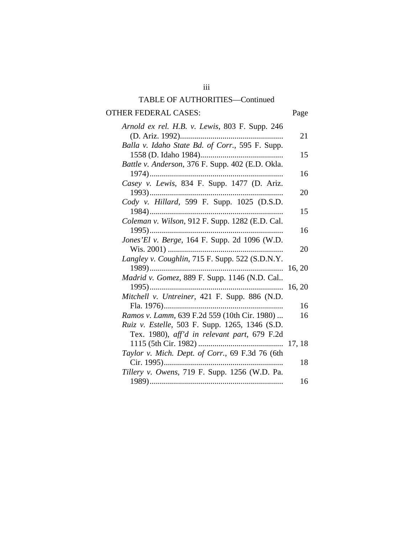# OTHER FEDERAL CASES: Page

| Arnold ex rel. H.B. v. Lewis, 803 F. Supp. 246   |        |
|--------------------------------------------------|--------|
|                                                  | 21     |
| Balla v. Idaho State Bd. of Corr., 595 F. Supp.  |        |
|                                                  | 15     |
| Battle v. Anderson, 376 F. Supp. 402 (E.D. Okla. |        |
| 1974)                                            | 16     |
| Casey v. Lewis, 834 F. Supp. 1477 (D. Ariz.      |        |
| 1993)                                            | 20     |
| Cody v. Hillard, 599 F. Supp. 1025 (D.S.D.       |        |
|                                                  | 15     |
| Coleman v. Wilson, 912 F. Supp. 1282 (E.D. Cal.  |        |
| $1995)$                                          | 16     |
| Jones'El v. Berge, 164 F. Supp. 2d 1096 (W.D.    |        |
|                                                  | 20     |
| Langley v. Coughlin, 715 F. Supp. 522 (S.D.N.Y.  |        |
|                                                  | 16, 20 |
| Madrid v. Gomez, 889 F. Supp. 1146 (N.D. Cal     |        |
| 1995)<br>.                                       | 16, 20 |
| Mitchell v. Untreiner, 421 F. Supp. 886 (N.D.    |        |
|                                                  | 16     |
| Ramos v. Lamm, 639 F.2d 559 (10th Cir. 1980)     | 16     |
| Ruiz v. Estelle, 503 F. Supp. 1265, 1346 (S.D.   |        |
| Tex. 1980), aff'd in relevant part, 679 F.2d     |        |
|                                                  |        |
| Taylor v. Mich. Dept. of Corr., 69 F.3d 76 (6th  |        |
| Cir. 1995)                                       | 18     |
| Tillery v. Owens, 719 F. Supp. 1256 (W.D. Pa.    |        |
|                                                  | 16     |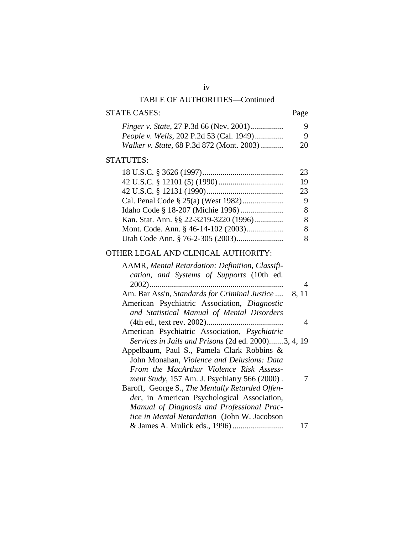## STATE CASES: Page

| <i>Finger v. State, 27 P.3d 66 (Nev. 2001)</i>    | 9  |
|---------------------------------------------------|----|
| <i>People v. Wells, 202 P.2d 53 (Cal. 1949)</i>   | 9  |
| <i>Walker v. State, 68 P.3d 872 (Mont. 2003) </i> | 20 |

## STATUTES:

|                                        | 23 |
|----------------------------------------|----|
|                                        | 19 |
|                                        | 23 |
|                                        | 9  |
|                                        |    |
| Kan. Stat. Ann. §§ 22-3219-3220 (1996) |    |
| Mont. Code. Ann. § 46-14-102 (2003)    |    |
|                                        |    |

## OTHER LEGAL AND CLINICAL AUTHORITY:

| AAMR, Mental Retardation: Definition, Classifi-     |       |
|-----------------------------------------------------|-------|
| cation, and Systems of Supports (10th ed.           |       |
| $2002)$                                             | 4     |
| Am. Bar Ass'n, Standards for Criminal Justice       | 8, 11 |
| American Psychiatric Association, Diagnostic        |       |
| and Statistical Manual of Mental Disorders          |       |
|                                                     |       |
| American Psychiatric Association, Psychiatric       |       |
| Services in Jails and Prisons (2d ed. 2000)3, 4, 19 |       |
| Appelbaum, Paul S., Pamela Clark Robbins &          |       |
| John Monahan, Violence and Delusions: Data          |       |
| From the MacArthur Violence Risk Assess-            |       |
| ment Study, 157 Am. J. Psychiatry 566 (2000).       |       |
| Baroff, George S., The Mentally Retarded Offen-     |       |
| der, in American Psychological Association,         |       |
| Manual of Diagnosis and Professional Prac-          |       |
| tice in Mental Retardation (John W. Jacobson        |       |
|                                                     |       |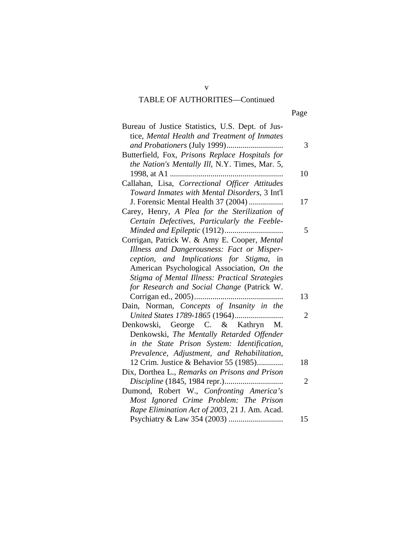| Bureau of Justice Statistics, U.S. Dept. of Jus- |    |
|--------------------------------------------------|----|
| tice, Mental Health and Treatment of Inmates     |    |
|                                                  | 3  |
| Butterfield, Fox, Prisons Replace Hospitals for  |    |
| the Nation's Mentally Ill, N.Y. Times, Mar. 5,   |    |
|                                                  | 10 |
| Callahan, Lisa, Correctional Officer Attitudes   |    |
| Toward Inmates with Mental Disorders, 3 Int'l    |    |
| J. Forensic Mental Health 37 (2004)              | 17 |
| Carey, Henry, A Plea for the Sterilization of    |    |
| Certain Defectives, Particularly the Feeble-     |    |
|                                                  | 5  |
| Corrigan, Patrick W. & Amy E. Cooper, Mental     |    |
| Illness and Dangerousness: Fact or Misper-       |    |
| ception, and Implications for Stigma, in         |    |
| American Psychological Association, On the       |    |
| Stigma of Mental Illness: Practical Strategies   |    |
| for Research and Social Change (Patrick W.       |    |
|                                                  | 13 |
| Dain, Norman, Concepts of Insanity in the        |    |
|                                                  | 2  |
| Denkowski, George C. & Kathryn M.                |    |
| Denkowski, The Mentally Retarded Offender        |    |
| in the State Prison System: Identification,      |    |
| Prevalence, Adjustment, and Rehabilitation,      |    |
| 12 Crim. Justice & Behavior 55 (1985)            | 18 |
| Dix, Dorthea L., Remarks on Prisons and Prison   |    |
|                                                  | 2  |
| Dumond, Robert W., Confronting America's         |    |
| Most Ignored Crime Problem: The Prison           |    |
| Rape Elimination Act of 2003, 21 J. Am. Acad.    |    |
|                                                  | 15 |
|                                                  |    |

v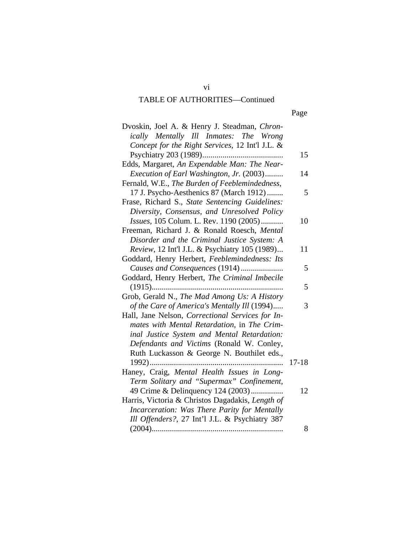Page

| Dvoskin, Joel A. & Henry J. Steadman, Chron-     |           |
|--------------------------------------------------|-----------|
| ically Mentally Ill Inmates: The Wrong           |           |
| Concept for the Right Services, 12 Int'l J.L. &  |           |
|                                                  | 15        |
| Edds, Margaret, An Expendable Man: The Near-     |           |
| Execution of Earl Washington, Jr. (2003)         | 14        |
| Fernald, W.E., The Burden of Feeblemindedness,   |           |
| 17 J. Psycho-Aesthenics 87 (March 1912)          | 5         |
| Frase, Richard S., State Sentencing Guidelines:  |           |
| Diversity, Consensus, and Unresolved Policy      |           |
| Issues, 105 Colum. L. Rev. 1190 (2005)           | 10        |
| Freeman, Richard J. & Ronald Roesch, Mental      |           |
| Disorder and the Criminal Justice System: A      |           |
| Review, 12 Int'l J.L. & Psychiatry 105 (1989)    | 11        |
| Goddard, Henry Herbert, Feeblemindedness: Its    |           |
| Causes and Consequences (1914)                   | 5         |
| Goddard, Henry Herbert, The Criminal Imbecile    |           |
|                                                  | 5         |
| Grob, Gerald N., The Mad Among Us: A History     |           |
| of the Care of America's Mentally Ill (1994)     | 3         |
| Hall, Jane Nelson, Correctional Services for In- |           |
| mates with Mental Retardation, in The Crim-      |           |
| inal Justice System and Mental Retardation:      |           |
| Defendants and Victims (Ronald W. Conley,        |           |
| Ruth Luckasson & George N. Bouthilet eds.,       |           |
|                                                  | $17 - 18$ |
| Haney, Craig, Mental Health Issues in Long-      |           |
| Term Solitary and "Supermax" Confinement,        |           |
| 49 Crime & Delinquency 124 (2003)                | 12        |
| Harris, Victoria & Christos Dagadakis, Length of |           |
| Incarceration: Was There Parity for Mentally     |           |
| Ill Offenders?, 27 Int'l J.L. & Psychiatry 387   |           |
|                                                  | 8         |

vi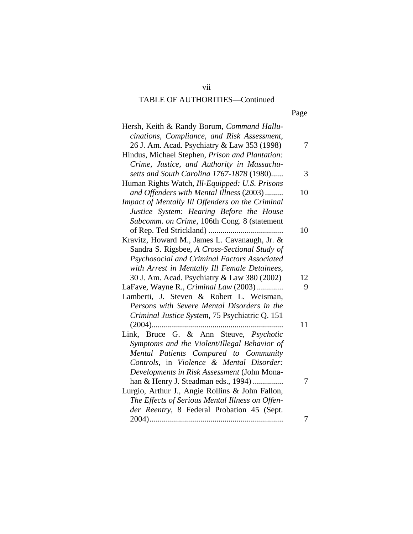| Hersh, Keith & Randy Borum, Command Hallu-       |    |
|--------------------------------------------------|----|
| cinations, Compliance, and Risk Assessment,      |    |
| 26 J. Am. Acad. Psychiatry & Law 353 (1998)      | 7  |
| Hindus, Michael Stephen, Prison and Plantation:  |    |
| Crime, Justice, and Authority in Massachu-       |    |
| setts and South Carolina 1767-1878 (1980)        | 3  |
| Human Rights Watch, Ill-Equipped: U.S. Prisons   |    |
| and Offenders with Mental Illness (2003)         | 10 |
| Impact of Mentally Ill Offenders on the Criminal |    |
| Justice System: Hearing Before the House         |    |
| Subcomm. on Crime, 106th Cong. 8 (statement      |    |
|                                                  | 10 |
| Kravitz, Howard M., James L. Cavanaugh, Jr. &    |    |
| Sandra S. Rigsbee, A Cross-Sectional Study of    |    |
| Psychosocial and Criminal Factors Associated     |    |
| with Arrest in Mentally Ill Female Detainees,    |    |
| 30 J. Am. Acad. Psychiatry & Law 380 (2002)      | 12 |
| LaFave, Wayne R., Criminal Law (2003)            | 9  |
| Lamberti, J. Steven & Robert L. Weisman,         |    |
| Persons with Severe Mental Disorders in the      |    |
| Criminal Justice System, 75 Psychiatric Q. 151   |    |
| $(2004)$                                         | 11 |
| Link, Bruce G. & Ann Steuve, Psychotic           |    |
| Symptoms and the Violent/Illegal Behavior of     |    |
| Mental Patients Compared to Community            |    |
| Controls, in Violence & Mental Disorder:         |    |
| Developments in Risk Assessment (John Mona-      |    |
| han & Henry J. Steadman eds., 1994)              | 7  |
| Lurgio, Arthur J., Angie Rollins & John Fallon,  |    |
| The Effects of Serious Mental Illness on Offen-  |    |
| der Reentry, 8 Federal Probation 45 (Sept.       |    |
|                                                  | 7  |

vii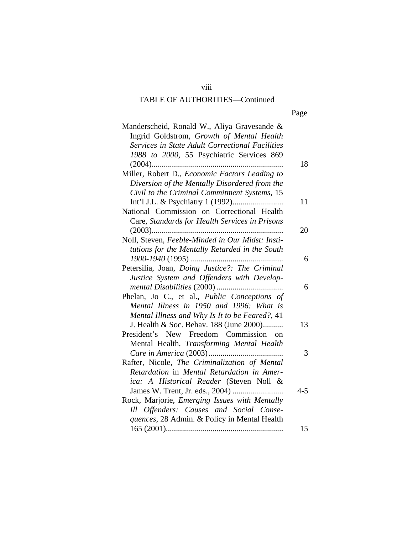| Manderscheid, Ronald W., Aliya Gravesande &      |         |
|--------------------------------------------------|---------|
| Ingrid Goldstrom, Growth of Mental Health        |         |
| Services in State Adult Correctional Facilities  |         |
| 1988 to 2000, 55 Psychiatric Services 869        |         |
|                                                  | 18      |
| Miller, Robert D., Economic Factors Leading to   |         |
| Diversion of the Mentally Disordered from the    |         |
| Civil to the Criminal Commitment Systems, 15     |         |
|                                                  | 11      |
| National Commission on Correctional Health       |         |
| Care, Standards for Health Services in Prisons   |         |
|                                                  | 20      |
| Noll, Steven, Feeble-Minded in Our Midst: Insti- |         |
| tutions for the Mentally Retarded in the South   |         |
|                                                  | 6       |
| Petersilia, Joan, Doing Justice?: The Criminal   |         |
| Justice System and Offenders with Develop-       |         |
|                                                  | 6       |
| Phelan, Jo C., et al., Public Conceptions of     |         |
| Mental Illness in 1950 and 1996: What is         |         |
| Mental Illness and Why Is It to be Feared?, 41   |         |
| J. Health & Soc. Behav. 188 (June 2000)          | 13      |
| President's New Freedom Commission on            |         |
| Mental Health, Transforming Mental Health        |         |
|                                                  | 3       |
| Rafter, Nicole, The Criminalization of Mental    |         |
| Retardation in Mental Retardation in Amer-       |         |
| ica: A Historical Reader (Steven Noll &          |         |
|                                                  | $4 - 5$ |
| Rock, Marjorie, Emerging Issues with Mentally    |         |
| Ill Offenders: Causes and Social Conse-          |         |
| quences, 28 Admin. & Policy in Mental Health     |         |
|                                                  | 15      |

viii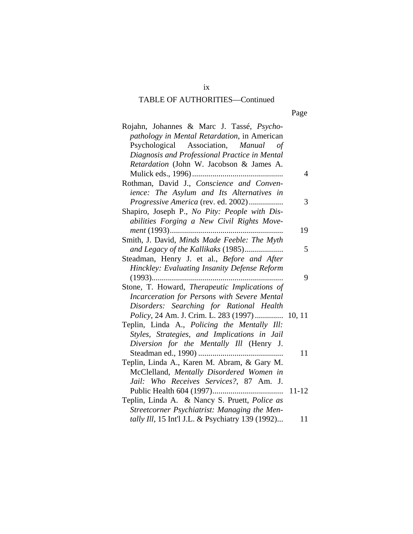| Rojahn, Johannes & Marc J. Tassé, Psycho-<br>pathology in Mental Retardation, in American |           |
|-------------------------------------------------------------------------------------------|-----------|
| Psychological Association, Manual<br>οf                                                   |           |
| Diagnosis and Professional Practice in Mental                                             |           |
| Retardation (John W. Jacobson & James A.                                                  |           |
|                                                                                           | 4         |
| Rothman, David J., Conscience and Conven-                                                 |           |
| ience: The Asylum and Its Alternatives in                                                 |           |
| Progressive America (rev. ed. 2002)                                                       | 3         |
| Shapiro, Joseph P., No Pity: People with Dis-                                             |           |
| abilities Forging a New Civil Rights Move-                                                |           |
| ment (1993)                                                                               | 19        |
| Smith, J. David, Minds Made Feeble: The Myth                                              |           |
| and Legacy of the Kallikaks (1985)                                                        | 5         |
| Steadman, Henry J. et al., Before and After                                               |           |
| Hinckley: Evaluating Insanity Defense Reform                                              |           |
|                                                                                           | 9         |
| Stone, T. Howard, Therapeutic Implications of                                             |           |
| Incarceration for Persons with Severe Mental                                              |           |
| Disorders: Searching for Rational Health                                                  |           |
| Policy, 24 Am. J. Crim. L. 283 (1997)  10, 11                                             |           |
| Teplin, Linda A., Policing the Mentally Ill:                                              |           |
| Styles, Strategies, and Implications in Jail                                              |           |
| Diversion for the Mentally Ill (Henry J.                                                  |           |
|                                                                                           | 11        |
| Teplin, Linda A., Karen M. Abram, & Gary M.                                               |           |
| McClelland, Mentally Disordered Women in                                                  |           |
| Jail: Who Receives Services?, 87 Am. J.                                                   |           |
|                                                                                           | $11 - 12$ |
| Teplin, Linda A. & Nancy S. Pruett, Police as                                             |           |
| Streetcorner Psychiatrist: Managing the Men-                                              |           |
| tally Ill, 15 Int'l J.L. & Psychiatry 139 (1992)                                          | 11        |

ix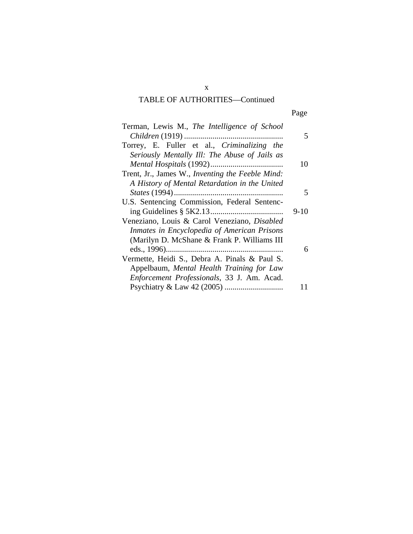| Terman, Lewis M., The Intelligence of School     |        |
|--------------------------------------------------|--------|
|                                                  | 5      |
| Torrey, E. Fuller et al., Criminalizing the      |        |
| Seriously Mentally Ill: The Abuse of Jails as    |        |
|                                                  | 10     |
| Trent, Jr., James W., Inventing the Feeble Mind: |        |
| A History of Mental Retardation in the United    |        |
|                                                  | 5      |
| U.S. Sentencing Commission, Federal Sentenc-     |        |
|                                                  | $9-10$ |
| Veneziano, Louis & Carol Veneziano, Disabled     |        |
| Inmates in Encyclopedia of American Prisons      |        |
| (Marilyn D. McShane & Frank P. Williams III)     |        |
|                                                  | 6      |
| Vermette, Heidi S., Debra A. Pinals & Paul S.    |        |
| Appelbaum, Mental Health Training for Law        |        |
| Enforcement Professionals, 33 J. Am. Acad.       |        |
|                                                  |        |

x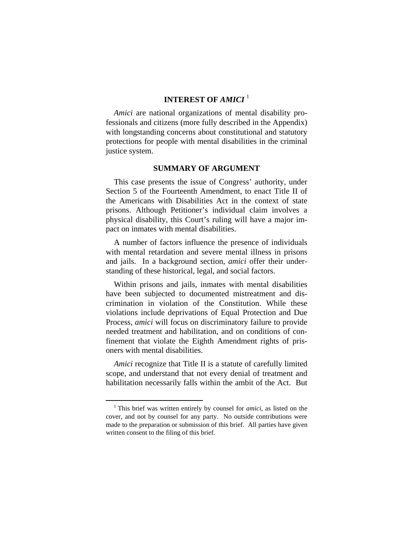## **INTEREST OF** *AMICI* [1](#page-11-0)

*Amici* are national organizations of mental disability professionals and citizens (more fully described in the Appendix) with longstanding concerns about constitutional and statutory protections for people with mental disabilities in the criminal justice system.

#### **SUMMARY OF ARGUMENT**

This case presents the issue of Congress' authority, under Section 5 of the Fourteenth Amendment, to enact Title II of the Americans with Disabilities Act in the context of state prisons. Although Petitioner's individual claim involves a physical disability, this Court's ruling will have a major impact on inmates with mental disabilities.

A number of factors influence the presence of individuals with mental retardation and severe mental illness in prisons and jails. In a background section, *amici* offer their understanding of these historical, legal, and social factors.

Within prisons and jails, inmates with mental disabilities have been subjected to documented mistreatment and discrimination in violation of the Constitution. While these violations include deprivations of Equal Protection and Due Process, *amici* will focus on discriminatory failure to provide needed treatment and habilitation, and on conditions of confinement that violate the Eighth Amendment rights of prisoners with mental disabilities.

*Amici* recognize that Title II is a statute of carefully limited scope, and understand that not every denial of treatment and habilitation necessarily falls within the ambit of the Act. But

<span id="page-11-0"></span> $\frac{1}{1}$  This brief was written entirely by counsel for *amici*, as listed on the cover, and not by counsel for any party. No outside contributions were made to the preparation or submission of this brief. All parties have given written consent to the filing of this brief.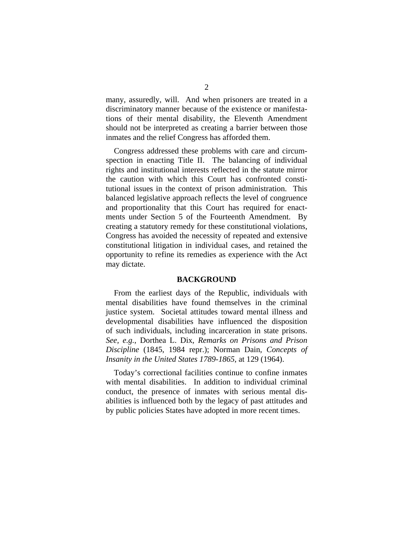many, assuredly, will. And when prisoners are treated in a discriminatory manner because of the existence or manifestations of their mental disability, the Eleventh Amendment should not be interpreted as creating a barrier between those inmates and the relief Congress has afforded them.

Congress addressed these problems with care and circumspection in enacting Title II. The balancing of individual rights and institutional interests reflected in the statute mirror the caution with which this Court has confronted constitutional issues in the context of prison administration. This balanced legislative approach reflects the level of congruence and proportionality that this Court has required for enactments under Section 5 of the Fourteenth Amendment. By creating a statutory remedy for these constitutional violations, Congress has avoided the necessity of repeated and extensive constitutional litigation in individual cases, and retained the opportunity to refine its remedies as experience with the Act may dictate.

#### **BACKGROUND**

From the earliest days of the Republic, individuals with mental disabilities have found themselves in the criminal justice system. Societal attitudes toward mental illness and developmental disabilities have influenced the disposition of such individuals, including incarceration in state prisons. *See, e.g.*, Dorthea L. Dix, *Remarks on Prisons and Prison Discipline* (1845, 1984 repr.); Norman Dain, *Concepts of Insanity in the United States 1789-1865*, at 129 (1964).

Today's correctional facilities continue to confine inmates with mental disabilities. In addition to individual criminal conduct, the presence of inmates with serious mental disabilities is influenced both by the legacy of past attitudes and by public policies States have adopted in more recent times.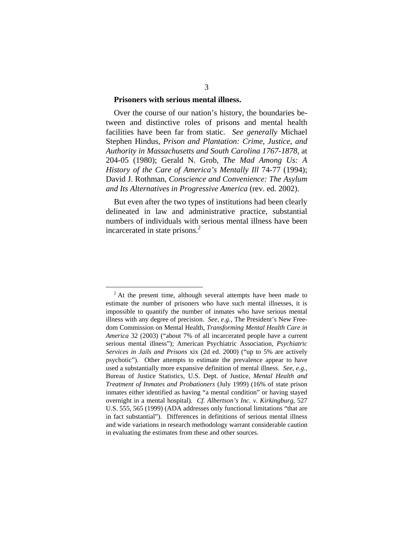#### **Prisoners with serious mental illness.**

Over the course of our nation's history, the boundaries between and distinctive roles of prisons and mental health facilities have been far from static. *See generally* Michael Stephen Hindus, *Prison and Plantation: Crime, Justice, and Authority in Massachusetts and South Carolina 1767-1878*, at 204-05 (1980); Gerald N. Grob, *The Mad Among Us: A History of the Care of America's Mentally Ill* 74-77 (1994); David J. Rothman, *Conscience and Convenience: The Asylum and Its Alternatives in Progressive America* (rev. ed. 2002).

But even after the two types of institutions had been clearly delineated in law and administrative practice, substantial numbers of individuals with serious mental illness have been incarcerated in state prisons.<sup>2</sup>

<span id="page-13-0"></span><sup>&</sup>lt;sup>2</sup> At the present time, although several attempts have been made to estimate the number of prisoners who have such mental illnesses, it is impossible to quantify the number of inmates who have serious mental illness with any degree of precision. *See, e.g.*, The President's New Freedom Commission on Mental Health*, Transforming Mental Health Care in America* 32 (2003) ("about 7% of all incarcerated people have a current serious mental illness"); American Psychiatric Association, *Psychiatric Services in Jails and Prisons* xix (2d ed. 2000) ("up to 5% are actively psychotic"). Other attempts to estimate the prevalence appear to have used a substantially more expansive definition of mental illness. *See, e.g.*, Bureau of Justice Statistics, U.S. Dept. of Justice, *Mental Health and Treatment of Inmates and Probationers* (July 1999) (16% of state prison inmates either identified as having "a mental condition" or having stayed overnight in a mental hospital). *Cf. Albertson's Inc. v. Kirkingburg*, 527 U.S. 555, 565 (1999) (ADA addresses only functional limitations "that are in fact substantial"). Differences in definitions of serious mental illness and wide variations in research methodology warrant considerable caution in evaluating the estimates from these and other sources.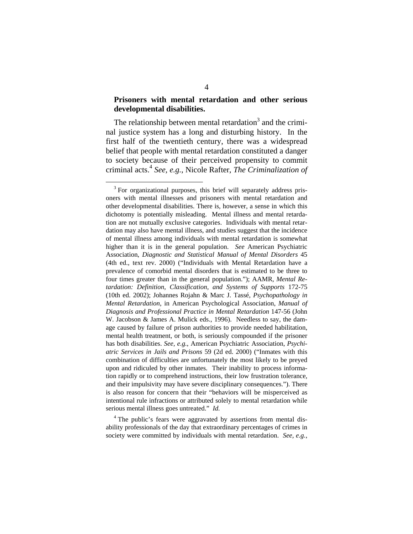#### **Prisoners with mental retardation and other serious developmental disabilities.**

The relationship between mental retardation<sup>3</sup> and the criminal justice system has a long and disturbing history. In the first half of the twentieth century, there was a widespread belief that people with mental retardation constituted a danger to society because of their perceived propensity to commit criminal acts[.4](#page-14-1) *See, e.g.*, Nicole Rafter, *The Criminalization of* 

<span id="page-14-1"></span><sup>4</sup> The public's fears were aggravated by assertions from mental disability professionals of the day that extraordinary percentages of crimes in society were committed by individuals with mental retardation. *See, e.g.*,

<span id="page-14-0"></span><sup>&</sup>lt;sup>3</sup> For organizational purposes, this brief will separately address prisoners with mental illnesses and prisoners with mental retardation and other developmental disabilities. There is, however, a sense in which this dichotomy is potentially misleading. Mental illness and mental retardation are not mutually exclusive categories. Individuals with mental retardation may also have mental illness, and studies suggest that the incidence of mental illness among individuals with mental retardation is somewhat higher than it is in the general population. *See* American Psychiatric Association, *Diagnostic and Statistical Manual of Mental Disorders* 45 (4th ed., text rev. 2000) ("Individuals with Mental Retardation have a prevalence of comorbid mental disorders that is estimated to be three to four times greater than in the general population."); AAMR, *Mental Retardation: Definition, Classification, and Systems of Supports* 172-75 (10th ed. 2002); Johannes Rojahn & Marc J. Tassé, *Psychopathology in Mental Retardation*, in American Psychological Association, *Manual of Diagnosis and Professional Practice in Mental Retardation* 147-56 (John W. Jacobson & James A. Mulick eds., 1996). Needless to say, the damage caused by failure of prison authorities to provide needed habilitation, mental health treatment, or both, is seriously compounded if the prisoner has both disabilities. *See, e.g.*, American Psychiatric Association, *Psychiatric Services in Jails and Prisons* 59 (2d ed. 2000) ("Inmates with this combination of difficulties are unfortunately the most likely to be preyed upon and ridiculed by other inmates. Their inability to process information rapidly or to comprehend instructions, their low frustration tolerance, and their impulsivity may have severe disciplinary consequences."). There is also reason for concern that their "behaviors will be misperceived as intentional rule infractions or attributed solely to mental retardation while serious mental illness goes untreated." *Id.*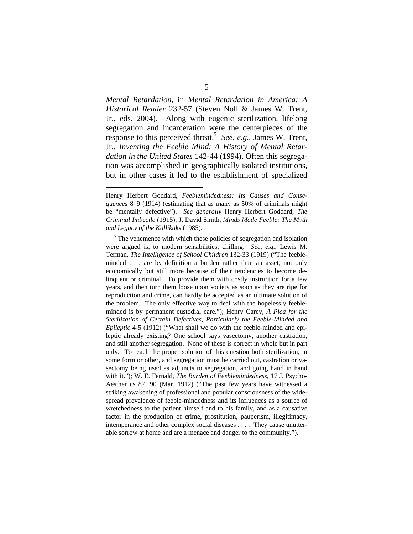*Mental Retardation*, in *Mental Retardation in America: A Historical Reader* 232-57 (Steven Noll & James W. Trent, Jr., eds. 2004). Along with eugenic sterilization, lifelong segregation and incarceration were the centerpieces of the response to this perceived threat.<sup>5</sup> See, e.g., James W. Trent, Jr., *Inventing the Feeble Mind: A History of Mental Retardation in the United States* 142-44 (1994). Often this segregation was accomplished in geographically isolated institutions, but in other cases it led to the establishment of specialized

<u>.</u>

Henry Herbert Goddard, *Feeblemindedness: Its Causes and Consequences* 8–9 (1914) (estimating that as many as 50% of criminals might be "mentally defective"). *See generally* Henry Herbert Goddard, *The Criminal Imbecile* (1915); J. David Smith, *Minds Made Feeble: The Myth and Legacy of the Kallikaks* (1985).

<span id="page-15-0"></span><sup>&</sup>lt;sup>5</sup> The vehemence with which these policies of segregation and isolation were argued is, to modern sensibilities, chilling. *See, e.g.*, Lewis M. Terman, *The Intelligence of School Children* 132-33 (1919) ("The feebleminded . . . are by definition a burden rather than an asset, not only economically but still more because of their tendencies to become delinquent or criminal. To provide them with costly instruction for a few years, and then turn them loose upon society as soon as they are ripe for reproduction and crime, can hardly be accepted as an ultimate solution of the problem. The only effective way to deal with the hopelessly feebleminded is by permanent custodial care."); Henry Carey, *A Plea for the Sterilization of Certain Defectives, Particularly the Feeble-Minded and Epileptic* 4-5 (1912) ("What shall we do with the feeble-minded and epileptic already existing? One school says vasectomy, another castration, and still another segregation. None of these is correct in whole but in part only. To reach the proper solution of this question both sterilization, in some form or other, and segregation must be carried out, castration or vasectomy being used as adjuncts to segregation, and going hand in hand with it."); W. E. Fernald, *The Burden of Feeblemindedness*, 17 J. Psycho-Aesthenics 87, 90 (Mar. 1912) ("The past few years have witnessed a striking awakening of professional and popular consciousness of the widespread prevalence of feeble-mindedness and its influences as a source of wretchedness to the patient himself and to his family, and as a causative factor in the production of crime, prostitution, pauperism, illegitimacy, intemperance and other complex social diseases . . . . They cause unutterable sorrow at home and are a menace and danger to the community.").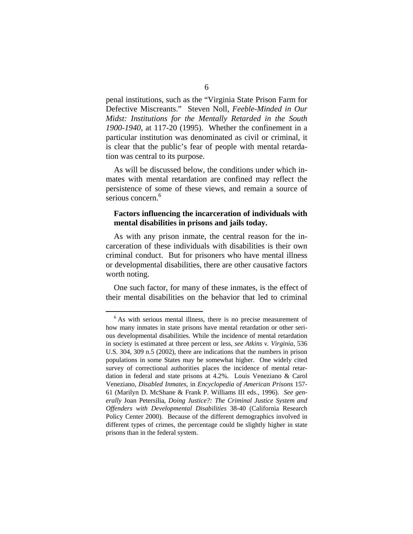penal institutions, such as the "Virginia State Prison Farm for Defective Miscreants." Steven Noll, *Feeble-Minded in Our Midst: Institutions for the Mentally Retarded in the South 1900-1940*, at 117-20 (1995). Whether the confinement in a particular institution was denominated as civil or criminal, it is clear that the public's fear of people with mental retardation was central to its purpose.

As will be discussed below, the conditions under which inmates with mental retardation are confined may reflect the persistence of some of these views, and remain a source of serious concern.<sup>[6](#page-16-0)</sup>

#### **Factors influencing the incarceration of individuals with mental disabilities in prisons and jails today.**

As with any prison inmate, the central reason for the incarceration of these individuals with disabilities is their own criminal conduct. But for prisoners who have mental illness or developmental disabilities, there are other causative factors worth noting.

One such factor, for many of these inmates, is the effect of their mental disabilities on the behavior that led to criminal

<span id="page-16-0"></span><sup>&</sup>lt;sup>6</sup> As with serious mental illness, there is no precise measurement of how many inmates in state prisons have mental retardation or other serious developmental disabilities. While the incidence of mental retardation in society is estimated at three percent or less, *see Atkins v. Virginia*, 536 U.S. 304, 309 n.5 (2002), there are indications that the numbers in prison populations in some States may be somewhat higher. One widely cited survey of correctional authorities places the incidence of mental retardation in federal and state prisons at 4.2%. Louis Veneziano & Carol Veneziano, *Disabled Inmates*, in *Encyclopedia of American Prisons* 157- 61 (Marilyn D. McShane & Frank P. Williams III eds., 1996). *See generally* Joan Petersilia, *Doing Justice?: The Criminal Justice System and Offenders with Developmental Disabilities* 38-40 (California Research Policy Center 2000). Because of the different demographics involved in different types of crimes, the percentage could be slightly higher in state prisons than in the federal system.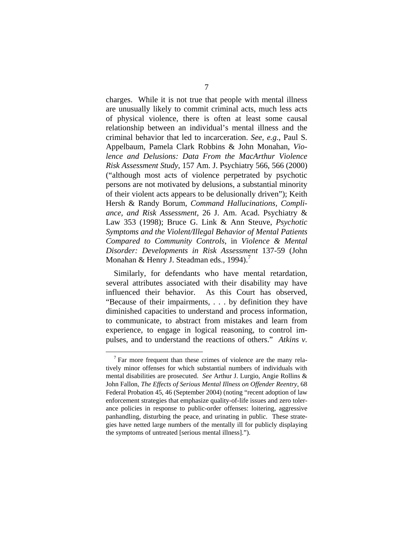charges. While it is not true that people with mental illness are unusually likely to commit criminal acts, much less acts of physical violence, there is often at least some causal relationship between an individual's mental illness and the criminal behavior that led to incarceration. *See, e.g.*, Paul S. Appelbaum, Pamela Clark Robbins & John Monahan, *Violence and Delusions: Data From the MacArthur Violence Risk Assessment Study*, 157 Am. J. Psychiatry 566, 566 (2000) ("although most acts of violence perpetrated by psychotic persons are not motivated by delusions, a substantial minority of their violent acts appears to be delusionally driven"); Keith Hersh & Randy Borum, *Command Hallucinations, Compliance, and Risk Assessment*, 26 J. Am. Acad. Psychiatry & Law 353 (1998); Bruce G. Link & Ann Steuve, *Psychotic Symptoms and the Violent/Illegal Behavior of Mental Patients Compared to Community Controls*, in *Violence & Mental Disorder: Developments in Risk Assessment* 137-59 (John Monahan & Henry J. Steadman eds., 1994).<sup>[7](#page-17-0)</sup>

Similarly, for defendants who have mental retardation, several attributes associated with their disability may have influenced their behavior. As this Court has observed, "Because of their impairments, . . . by definition they have diminished capacities to understand and process information, to communicate, to abstract from mistakes and learn from experience, to engage in logical reasoning, to control impulses, and to understand the reactions of others." *Atkins v.* 

<span id="page-17-0"></span><sup>&</sup>lt;sup>7</sup> Far more frequent than these crimes of violence are the many relatively minor offenses for which substantial numbers of individuals with mental disabilities are prosecuted. *See* Arthur J. Lurgio, Angie Rollins & John Fallon, *The Effects of Serious Mental Illness on Offender Reentry*, 68 Federal Probation 45, 46 (September 2004) (noting "recent adoption of law enforcement strategies that emphasize quality-of-life issues and zero tolerance policies in response to public-order offenses: loitering, aggressive panhandling, disturbing the peace, and urinating in public. These strategies have netted large numbers of the mentally ill for publicly displaying the symptoms of untreated [serious mental illness].").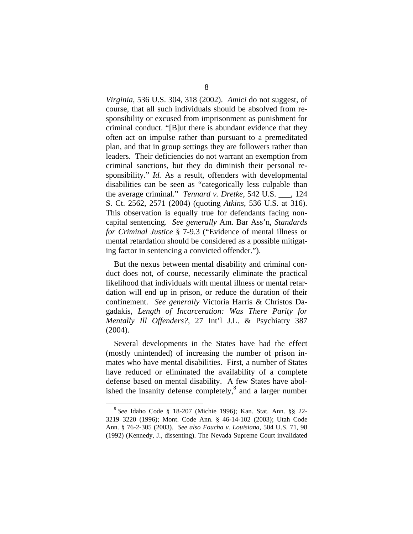*Virginia*, 536 U.S. 304, 318 (2002). *Amici* do not suggest, of course, that all such individuals should be absolved from responsibility or excused from imprisonment as punishment for criminal conduct. "[B]ut there is abundant evidence that they often act on impulse rather than pursuant to a premeditated plan, and that in group settings they are followers rather than leaders. Their deficiencies do not warrant an exemption from criminal sanctions, but they do diminish their personal responsibility." *Id.* As a result, offenders with developmental disabilities can be seen as "categorically less culpable than the average criminal." *Tennard v. Dretke*, 542 U.S. \_\_\_, 124 S. Ct. 2562, 2571 (2004) (quoting *Atkins*, 536 U.S. at 316). This observation is equally true for defendants facing noncapital sentencing. *See generally* Am. Bar Ass'n, *Standards for Criminal Justice* § 7-9.3 ("Evidence of mental illness or mental retardation should be considered as a possible mitigating factor in sentencing a convicted offender.").

But the nexus between mental disability and criminal conduct does not, of course, necessarily eliminate the practical likelihood that individuals with mental illness or mental retardation will end up in prison, or reduce the duration of their confinement. *See generally* Victoria Harris & Christos Dagadakis, *Length of Incarceration: Was There Parity for Mentally Ill Offenders?*, 27 Int'l J.L. & Psychiatry 387 (2004).

Several developments in the States have had the effect (mostly unintended) of increasing the number of prison inmates who have mental disabilities. First, a number of States have reduced or eliminated the availability of a complete defense based on mental disability. A few States have abolished the insanity defense completely, $<sup>8</sup>$  and a larger number</sup>

<span id="page-18-0"></span> <sup>8</sup> *See* Idaho Code § 18-207 (Michie 1996); Kan. Stat. Ann. §§ 22- 3219–3220 (1996); Mont. Code Ann. § 46-14-102 (2003); Utah Code Ann. § 76-2-305 (2003). *See also Foucha v. Louisiana*, 504 U.S. 71, 98 (1992) (Kennedy, J., dissenting). The Nevada Supreme Court invalidated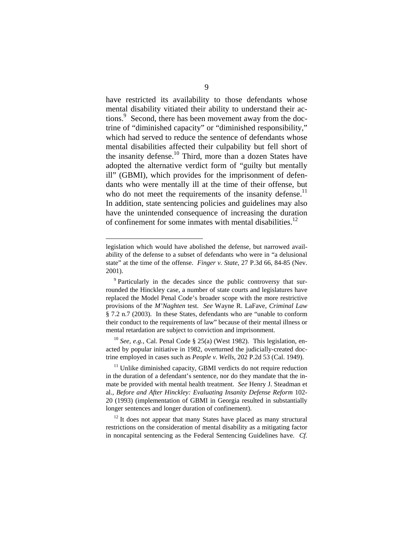have restricted its availability to those defendants whose mental disability vitiated their ability to understand their actions.<sup>9</sup> Second, there has been movement away from the doctrine of "diminished capacity" or "diminished responsibility," which had served to reduce the sentence of defendants whose mental disabilities affected their culpability but fell short of the insanity defense.<sup>10</sup> Third, more than a dozen States have adopted the alternative verdict form of "guilty but mentally ill" (GBMI), which provides for the imprisonment of defendants who were mentally ill at the time of their offense, but who do not meet the requirements of the insanity defense.<sup>11</sup> In addition, state sentencing policies and guidelines may also have the unintended consequence of increasing the duration of confinement for some inmates with mental disabilities.<sup>[12](#page-19-3)</sup>

1

<span id="page-19-1"></span><sup>10</sup> *See, e.g.*, Cal. Penal Code § 25(a) (West 1982). This legislation, enacted by popular initiative in 1982, overturned the judicially-created doctrine employed in cases such as *People v. Wells*, 202 P.2d 53 (Cal. 1949).

<span id="page-19-2"></span> $11$  Unlike diminished capacity, GBMI verdicts do not require reduction in the duration of a defendant's sentence, nor do they mandate that the inmate be provided with mental health treatment. *See* Henry J. Steadman et al., *Before and After Hinckley: Evaluating Insanity Defense Reform* 102- 20 (1993) (implementation of GBMI in Georgia resulted in substantially longer sentences and longer duration of confinement).

<span id="page-19-3"></span> $12$  It does not appear that many States have placed as many structural restrictions on the consideration of mental disability as a mitigating factor in noncapital sentencing as the Federal Sentencing Guidelines have. *Cf.*

legislation which would have abolished the defense, but narrowed availability of the defense to a subset of defendants who were in "a delusional state" at the time of the offense. *Finger v. State*, 27 P.3d 66, 84-85 (Nev. 2001).

<span id="page-19-0"></span><sup>&</sup>lt;sup>9</sup> Particularly in the decades since the public controversy that surrounded the Hinckley case, a number of state courts and legislatures have replaced the Model Penal Code's broader scope with the more restrictive provisions of the *M'Naghten* test. *See* Wayne R. LaFave, *Criminal Law* § 7.2 n.7 (2003). In these States, defendants who are "unable to conform their conduct to the requirements of law" because of their mental illness or mental retardation are subject to conviction and imprisonment.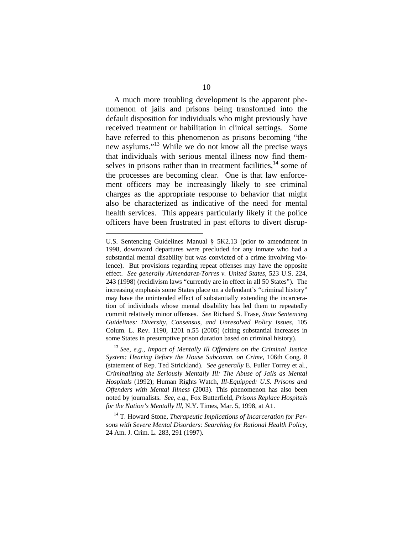A much more troubling development is the apparent phenomenon of jails and prisons being transformed into the default disposition for individuals who might previously have received treatment or habilitation in clinical settings. Some have referred to this phenomenon as prisons becoming "the new asylums."[13](#page-20-0) While we do not know all the precise ways that individuals with serious mental illness now find themselves in prisons rather than in treatment facilities, $14$  some of the processes are becoming clear. One is that law enforcement officers may be increasingly likely to see criminal charges as the appropriate response to behavior that might also be characterized as indicative of the need for mental health services. This appears particularly likely if the police officers have been frustrated in past efforts to divert disrup-

1

U.S. Sentencing Guidelines Manual § 5K2.13 (prior to amendment in 1998, downward departures were precluded for any inmate who had a substantial mental disability but was convicted of a crime involving violence). But provisions regarding repeat offenses may have the opposite effect. *See generally Almendarez-Torres v. United States*, 523 U.S. 224, 243 (1998) (recidivism laws "currently are in effect in all 50 States"). The increasing emphasis some States place on a defendant's "criminal history" may have the unintended effect of substantially extending the incarceration of individuals whose mental disability has led them to repeatedly commit relatively minor offenses. *See* Richard S. Frase, *State Sentencing Guidelines: Diversity, Consensus, and Unresolved Policy Issues*, 105 Colum. L. Rev. 1190, 1201 n.55 (2005) (citing substantial increases in some States in presumptive prison duration based on criminal history).

<span id="page-20-0"></span><sup>13</sup> *See, e.g.*, *Impact of Mentally Ill Offenders on the Criminal Justice System: Hearing Before the House Subcomm. on Crime*, 106th Cong. 8 (statement of Rep. Ted Strickland). *See generally* E. Fuller Torrey et al., *Criminalizing the Seriously Mentally Ill: The Abuse of Jails as Mental Hospitals* (1992); Human Rights Watch, *Ill-Equipped: U.S. Prisons and Offenders with Mental Illness* (2003). This phenomenon has also been noted by journalists. *See, e.g.*, Fox Butterfield, *Prisons Replace Hospitals for the Nation's Mentally Ill*, N.Y. Times, Mar. 5, 1998, at A1.

<span id="page-20-1"></span><sup>14</sup> T. Howard Stone, *Therapeutic Implications of Incarceration for Persons with Severe Mental Disorders: Searching for Rational Health Policy*, 24 Am. J. Crim. L. 283, 291 (1997).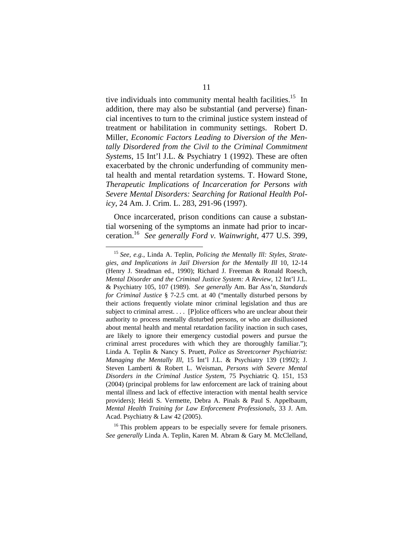tive individuals into community mental health facilities.<sup>15</sup> In addition, there may also be substantial (and perverse) financial incentives to turn to the criminal justice system instead of treatment or habilitation in community settings. Robert D. Miller, *Economic Factors Leading to Diversion of the Mentally Disordered from the Civil to the Criminal Commitment Systems*, 15 Int'l J.L. & Psychiatry 1 (1992). These are often exacerbated by the chronic underfunding of community mental health and mental retardation systems. T. Howard Stone, *Therapeutic Implications of Incarceration for Persons with Severe Mental Disorders: Searching for Rational Health Policy*, 24 Am. J. Crim. L. 283, 291-96 (1997).

Once incarcerated, prison conditions can cause a substantial worsening of the symptoms an inmate had prior to incarceration.[16](#page-21-1) *See generally Ford v. Wainwright*, 477 U.S. 399,

<span id="page-21-1"></span> $16$ <sup>16</sup> This problem appears to be especially severe for female prisoners. *See generally* Linda A. Teplin, Karen M. Abram & Gary M. McClelland,

<span id="page-21-0"></span> <sup>15</sup> *See, e.g.*, Linda A. Teplin, *Policing the Mentally Ill: Styles, Strategies, and Implications in Jail Diversion for the Mentally Ill* 10, 12-14 (Henry J. Steadman ed., 1990); Richard J. Freeman & Ronald Roesch, *Mental Disorder and the Criminal Justice System: A Review*, 12 Int'l J.L. & Psychiatry 105, 107 (1989). *See generally* Am. Bar Ass'n, *Standards for Criminal Justice* § 7-2.5 cmt. at 40 ("mentally disturbed persons by their actions frequently violate minor criminal legislation and thus are subject to criminal arrest. . . . [P]olice officers who are unclear about their authority to process mentally disturbed persons, or who are disillusioned about mental health and mental retardation facility inaction in such cases, are likely to ignore their emergency custodial powers and pursue the criminal arrest procedures with which they are thoroughly familiar."); Linda A. Teplin & Nancy S. Pruett, *Police as Streetcorner Psychiatrist: Managing the Mentally Ill*, 15 Int'l J.L. & Psychiatry 139 (1992); J. Steven Lamberti & Robert L. Weisman, *Persons with Severe Mental Disorders in the Criminal Justice System*, 75 Psychiatric Q. 151, 153 (2004) (principal problems for law enforcement are lack of training about mental illness and lack of effective interaction with mental health service providers); Heidi S. Vermette, Debra A. Pinals & Paul S. Appelbaum, *Mental Health Training for Law Enforcement Professionals*, 33 J. Am. Acad. Psychiatry & Law 42 (2005).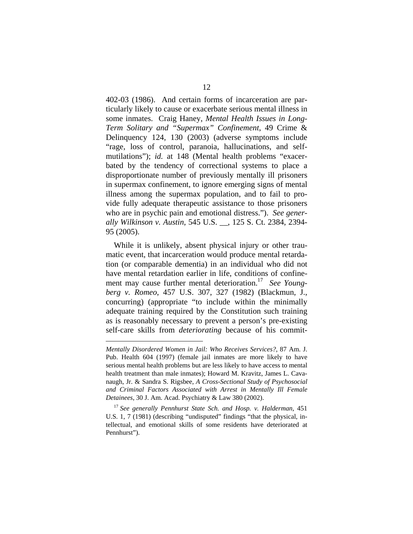402-03 (1986). And certain forms of incarceration are particularly likely to cause or exacerbate serious mental illness in some inmates. Craig Haney, *Mental Health Issues in Long-Term Solitary and "Supermax" Confinement*, 49 Crime & Delinquency 124, 130 (2003) (adverse symptoms include "rage, loss of control, paranoia, hallucinations, and selfmutilations"); *id.* at 148 (Mental health problems "exacerbated by the tendency of correctional systems to place a disproportionate number of previously mentally ill prisoners in supermax confinement, to ignore emerging signs of mental illness among the supermax population, and to fail to provide fully adequate therapeutic assistance to those prisoners who are in psychic pain and emotional distress."). *See generally Wilkinson v. Austin*, 545 U.S. \_\_, 125 S. Ct. 2384, 2394- 95 (2005).

While it is unlikely, absent physical injury or other traumatic event, that incarceration would produce mental retardation (or comparable dementia) in an individual who did not have mental retardation earlier in life, conditions of confinement may cause further mental deterioration[.17](#page-22-0) *See Youngberg v. Romeo*, 457 U.S. 307, 327 (1982) (Blackmun, J., concurring) (appropriate "to include within the minimally adequate training required by the Constitution such training as is reasonably necessary to prevent a person's pre-existing self-care skills from *deteriorating* because of his commit-

<u>.</u>

*Mentally Disordered Women in Jail: Who Receives Services?*, 87 Am. J. Pub. Health 604 (1997) (female jail inmates are more likely to have serious mental health problems but are less likely to have access to mental health treatment than male inmates); Howard M. Kravitz, James L. Cavanaugh, Jr. & Sandra S. Rigsbee, *A Cross-Sectional Study of Psychosocial and Criminal Factors Associated with Arrest in Mentally Ill Female Detainees*, 30 J. Am. Acad. Psychiatry & Law 380 (2002).

<span id="page-22-0"></span><sup>17</sup> *See generally Pennhurst State Sch. and Hosp. v. Halderman*, 451 U.S. 1, 7 (1981) (describing "undisputed" findings "that the physical, intellectual, and emotional skills of some residents have deteriorated at Pennhurst").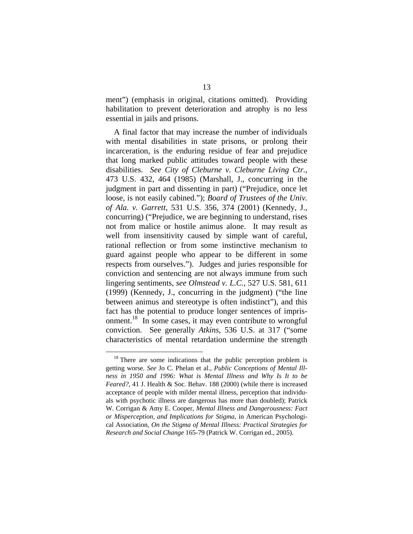ment") (emphasis in original, citations omitted). Providing habilitation to prevent deterioration and atrophy is no less essential in jails and prisons.

A final factor that may increase the number of individuals with mental disabilities in state prisons, or prolong their incarceration, is the enduring residue of fear and prejudice that long marked public attitudes toward people with these disabilities. *See City of Cleburne v. Cleburne Living Ctr.*, 473 U.S. 432, 464 (1985) (Marshall, J., concurring in the judgment in part and dissenting in part) ("Prejudice, once let loose, is not easily cabined."); *Board of Trustees of the Univ. of Ala. v. Garrett*, 531 U.S. 356, 374 (2001) (Kennedy, J., concurring) ("Prejudice, we are beginning to understand, rises not from malice or hostile animus alone. It may result as well from insensitivity caused by simple want of careful, rational reflection or from some instinctive mechanism to guard against people who appear to be different in some respects from ourselves."). Judges and juries responsible for conviction and sentencing are not always immune from such lingering sentiments, *see Olmstead v. L.C.*, 527 U.S. 581, 611 (1999) (Kennedy, J., concurring in the judgment) ("the line between animus and stereotype is often indistinct"), and this fact has the potential to produce longer sentences of imprisonment.<sup>18</sup> In some cases, it may even contribute to wrongful conviction. See generally *Atkins*, 536 U.S. at 317 ("some characteristics of mental retardation undermine the strength

<span id="page-23-0"></span><sup>&</sup>lt;sup>18</sup> There are some indications that the public perception problem is getting worse. *See* Jo C. Phelan et al., *Public Conceptions of Mental Illness in 1950 and 1996: What is Mental Illness and Why Is It to be Feared?*, 41 J. Health & Soc. Behav. 188 (2000) (while there is increased acceptance of people with milder mental illness, perception that individuals with psychotic illness are dangerous has more than doubled); Patrick W. Corrigan & Amy E. Cooper, *Mental Illness and Dangerousness: Fact or Misperception, and Implications for Stigma*, in American Psychological Association, *On the Stigma of Mental Illness: Practical Strategies for Research and Social Change* 165-79 (Patrick W. Corrigan ed., 2005).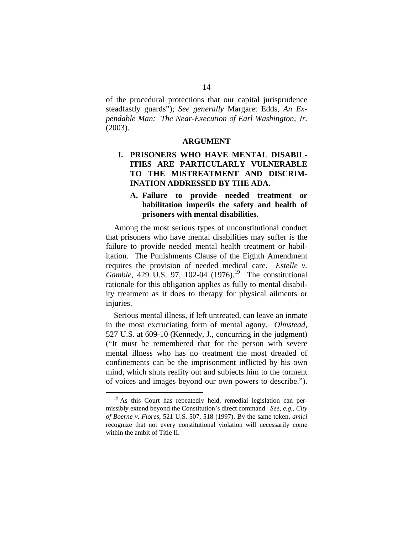of the procedural protections that our capital jurisprudence steadfastly guards"); *See generally* Margaret Edds, *An Expendable Man: The Near-Execution of Earl Washington, Jr.* (2003).

#### **ARGUMENT**

### **I. PRISONERS WHO HAVE MENTAL DISABIL-ITIES ARE PARTICULARLY VULNERABLE TO THE MISTREATMENT AND DISCRIM-INATION ADDRESSED BY THE ADA.**

### **A. Failure to provide needed treatment or habilitation imperils the safety and health of prisoners with mental disabilities.**

Among the most serious types of unconstitutional conduct that prisoners who have mental disabilities may suffer is the failure to provide needed mental health treatment or habilitation. The Punishments Clause of the Eighth Amendment requires the provision of needed medical care. *Estelle v. Gamble*, 429 U.S. 97, 102-04 (1976).<sup>19</sup> The constitutional rationale for this obligation applies as fully to mental disability treatment as it does to therapy for physical ailments or injuries.

Serious mental illness, if left untreated, can leave an inmate in the most excruciating form of mental agony. *Olmstead*, 527 U.S. at 609-10 (Kennedy, J., concurring in the judgment) ("It must be remembered that for the person with severe mental illness who has no treatment the most dreaded of confinements can be the imprisonment inflicted by his own mind, which shuts reality out and subjects him to the torment of voices and images beyond our own powers to describe.").

<span id="page-24-0"></span> $19$  As this Court has repeatedly held, remedial legislation can permissibly extend beyond the Constitution's direct command. *See*, *e.g.*, *City of Boerne v. Flores*, 521 U.S. 507, 518 (1997). By the same token, *amici*  recognize that not every constitutional violation will necessarily come within the ambit of Title II.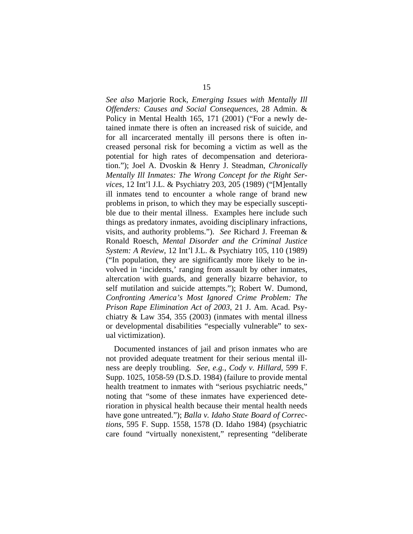*See also* Marjorie Rock, *Emerging Issues with Mentally Ill Offenders: Causes and Social Consequences*, 28 Admin. & Policy in Mental Health 165, 171 (2001) ("For a newly detained inmate there is often an increased risk of suicide, and for all incarcerated mentally ill persons there is often increased personal risk for becoming a victim as well as the potential for high rates of decompensation and deterioration."); Joel A. Dvoskin & Henry J. Steadman, *Chronically Mentally Ill Inmates: The Wrong Concept for the Right Services*, 12 Int'l J.L. & Psychiatry 203, 205 (1989) ("[M]entally ill inmates tend to encounter a whole range of brand new problems in prison, to which they may be especially susceptible due to their mental illness. Examples here include such things as predatory inmates, avoiding disciplinary infractions, visits, and authority problems."). *See* Richard J. Freeman & Ronald Roesch, *Mental Disorder and the Criminal Justice System: A Review*, 12 Int'l J.L. & Psychiatry 105, 110 (1989) ("In population, they are significantly more likely to be involved in 'incidents,' ranging from assault by other inmates, altercation with guards, and generally bizarre behavior, to self mutilation and suicide attempts."); Robert W. Dumond, *Confronting America's Most Ignored Crime Problem: The Prison Rape Elimination Act of 2003*, 21 J. Am. Acad. Psychiatry  $\&$  Law 354, 355 (2003) (inmates with mental illness or developmental disabilities "especially vulnerable" to sexual victimization).

Documented instances of jail and prison inmates who are not provided adequate treatment for their serious mental illness are deeply troubling. *See, e.g.*, *Cody v. Hillard*, 599 F. Supp. 1025, 1058-59 (D.S.D. 1984) (failure to provide mental health treatment to inmates with "serious psychiatric needs," noting that "some of these inmates have experienced deterioration in physical health because their mental health needs have gone untreated."); *Balla v. Idaho State Board of Corrections*, 595 F. Supp. 1558, 1578 (D. Idaho 1984) (psychiatric care found "virtually nonexistent," representing "deliberate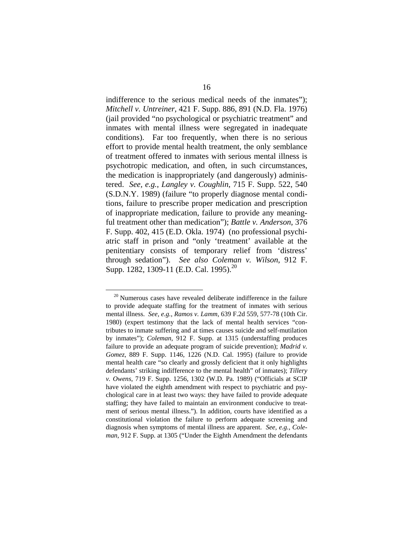indifference to the serious medical needs of the inmates"); *Mitchell v. Untreiner*, 421 F. Supp. 886, 891 (N.D. Fla. 1976) (jail provided "no psychological or psychiatric treatment" and inmates with mental illness were segregated in inadequate conditions). Far too frequently, when there is no serious effort to provide mental health treatment, the only semblance of treatment offered to inmates with serious mental illness is psychotropic medication, and often, in such circumstances, the medication is inappropriately (and dangerously) administered. *See, e.g.*, *Langley v. Coughlin*, 715 F. Supp. 522, 540 (S.D.N.Y. 1989) (failure "to properly diagnose mental conditions, failure to prescribe proper medication and prescription of inappropriate medication, failure to provide any meaningful treatment other than medication"); *Battle v. Anderson*, 376 F. Supp. 402, 415 (E.D. Okla. 1974) (no professional psychiatric staff in prison and "only 'treatment' available at the penitentiary consists of temporary relief from 'distress' through sedation"). *See also Coleman v. Wilson*, 912 F. Supp. 1282, 1309-11 (E.D. Cal. 1995).<sup>[20](#page-26-0)</sup>

<span id="page-26-0"></span> $20$  Numerous cases have revealed deliberate indifference in the failure to provide adequate staffing for the treatment of inmates with serious mental illness. *See, e.g.*, *Ramos v. Lamm*, 639 F.2d 559, 577-78 (10th Cir. 1980) (expert testimony that the lack of mental health services "contributes to inmate suffering and at times causes suicide and self-mutilation by inmates"); *Coleman*, 912 F. Supp. at 1315 (understaffing produces failure to provide an adequate program of suicide prevention); *Madrid v. Gomez*, 889 F. Supp. 1146, 1226 (N.D. Cal. 1995) (failure to provide mental health care "so clearly and grossly deficient that it only highlights defendants' striking indifference to the mental health" of inmates); *Tillery v. Owens*, 719 F. Supp. 1256, 1302 (W.D. Pa. 1989) ("Officials at SCIP have violated the eighth amendment with respect to psychiatric and psychological care in at least two ways: they have failed to provide adequate staffing; they have failed to maintain an environment conducive to treatment of serious mental illness."). In addition, courts have identified as a constitutional violation the failure to perform adequate screening and diagnosis when symptoms of mental illness are apparent. *See, e.g.*, *Coleman*, 912 F. Supp. at 1305 ("Under the Eighth Amendment the defendants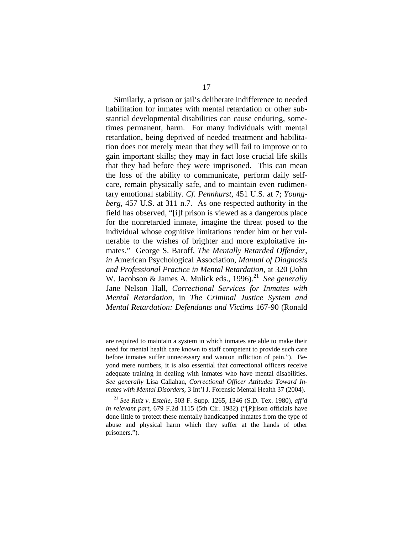Similarly, a prison or jail's deliberate indifference to needed habilitation for inmates with mental retardation or other substantial developmental disabilities can cause enduring, sometimes permanent, harm. For many individuals with mental retardation, being deprived of needed treatment and habilitation does not merely mean that they will fail to improve or to gain important skills; they may in fact lose crucial life skills that they had before they were imprisoned. This can mean the loss of the ability to communicate, perform daily selfcare, remain physically safe, and to maintain even rudimentary emotional stability. *Cf. Pennhurst*, 451 U.S. at 7; *Youngberg*, 457 U.S. at 311 n.7. As one respected authority in the field has observed, "[i]f prison is viewed as a dangerous place for the nonretarded inmate, imagine the threat posed to the individual whose cognitive limitations render him or her vulnerable to the wishes of brighter and more exploitative inmates." George S. Baroff, *The Mentally Retarded Offender*, *in* American Psychological Association, *Manual of Diagnosis and Professional Practice in Mental Retardation*, at 320 (John W. Jacobson & James A. Mulick eds., 1996).<sup>21</sup> See generally Jane Nelson Hall, *Correctional Services for Inmates with Mental Retardation*, in *The Criminal Justice System and Mental Retardation: Defendants and Victims* 167-90 (Ronald

<u>.</u>

are required to maintain a system in which inmates are able to make their need for mental health care known to staff competent to provide such care before inmates suffer unnecessary and wanton infliction of pain."). Beyond mere numbers, it is also essential that correctional officers receive adequate training in dealing with inmates who have mental disabilities. *See generally* Lisa Callahan, *Correctional Officer Attitudes Toward Inmates with Mental Disorders*, 3 Int'l J. Forensic Mental Health 37 (2004).

<span id="page-27-0"></span><sup>21</sup> *See Ruiz v. Estelle,* 503 F. Supp. 1265, 1346 (S.D. Tex. 1980), *aff'd in relevant part*, 679 F.2d 1115 (5th Cir. 1982) ("[P]rison officials have done little to protect these mentally handicapped inmates from the type of abuse and physical harm which they suffer at the hands of other prisoners.").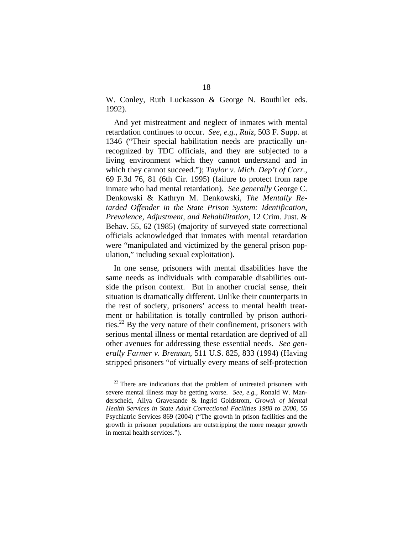W. Conley, Ruth Luckasson & George N. Bouthilet eds. 1992).

And yet mistreatment and neglect of inmates with mental retardation continues to occur. *See, e.g.*, *Ruiz*, 503 F. Supp. at 1346 ("Their special habilitation needs are practically unrecognized by TDC officials, and they are subjected to a living environment which they cannot understand and in which they cannot succeed."); *Taylor v. Mich. Dep't of Corr.*, 69 F.3d 76, 81 (6th Cir. 1995) (failure to protect from rape inmate who had mental retardation). *See generally* George C. Denkowski & Kathryn M. Denkowski, *The Mentally Retarded Offender in the State Prison System: Identification, Prevalence, Adjustment, and Rehabilitation*, 12 Crim. Just. & Behav. 55, 62 (1985) (majority of surveyed state correctional officials acknowledged that inmates with mental retardation were "manipulated and victimized by the general prison population," including sexual exploitation).

In one sense, prisoners with mental disabilities have the same needs as individuals with comparable disabilities outside the prison context. But in another crucial sense, their situation is dramatically different. Unlike their counterparts in the rest of society, prisoners' access to mental health treatment or habilitation is totally controlled by prison authorities.<sup>22</sup> By the very nature of their confinement, prisoners with serious mental illness or mental retardation are deprived of all other avenues for addressing these essential needs. *See generally Farmer v. Brennan*, 511 U.S. 825, 833 (1994) (Having stripped prisoners "of virtually every means of self-protection

<span id="page-28-0"></span> $22$  There are indications that the problem of untreated prisoners with severe mental illness may be getting worse. *See, e.g.*, Ronald W. Manderscheid, Aliya Gravesande & Ingrid Goldstrom, *Growth of Mental Health Services in State Adult Correctional Facilities 1988 to 2000*, 55 Psychiatric Services 869 (2004) ("The growth in prison facilities and the growth in prisoner populations are outstripping the more meager growth in mental health services.").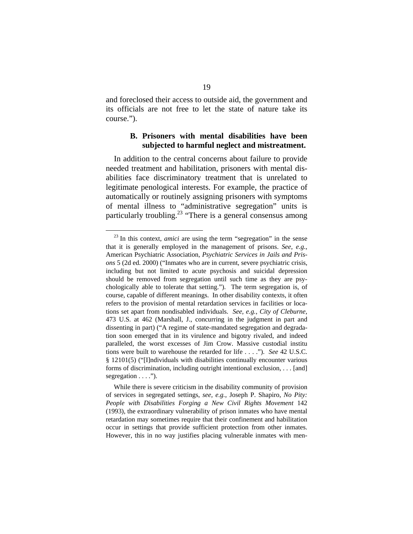and foreclosed their access to outside aid, the government and its officials are not free to let the state of nature take its course.").

#### **B. Prisoners with mental disabilities have been subjected to harmful neglect and mistreatment.**

In addition to the central concerns about failure to provide needed treatment and habilitation, prisoners with mental disabilities face discriminatory treatment that is unrelated to legitimate penological interests. For example, the practice of automatically or routinely assigning prisoners with symptoms of mental illness to "administrative segregation" units is particularly troubling.<sup>23</sup> "There is a general consensus among

<span id="page-29-0"></span><sup>&</sup>lt;sup>23</sup> In this context, *amici* are using the term "segregation" in the sense that it is generally employed in the management of prisons. *See, e.g.*, American Psychiatric Association, *Psychiatric Services in Jails and Prisons* 5 (2d ed. 2000) ("Inmates who are in current, severe psychiatric crisis, including but not limited to acute psychosis and suicidal depression should be removed from segregation until such time as they are psychologically able to tolerate that setting."). The term segregation is, of course, capable of different meanings. In other disability contexts, it often refers to the provision of mental retardation services in facilities or locations set apart from nondisabled individuals. *See, e.g.*, *City of Cleburne*, 473 U.S. at 462 (Marshall, J., concurring in the judgment in part and dissenting in part) ("A regime of state-mandated segregation and degradation soon emerged that in its virulence and bigotry rivaled, and indeed paralleled, the worst excesses of Jim Crow. Massive custodial institu tions were built to warehouse the retarded for life . . . ."). *See* 42 U.S.C. § 12101(5) ("[I]ndividuals with disabilities continually encounter various forms of discrimination, including outright intentional exclusion, . . . [and] segregation  $\dots$ .").

While there is severe criticism in the disability community of provision of services in segregated settings, *see, e.g.*, Joseph P. Shapiro, *No Pity: People with Disabilities Forging a New Civil Rights Movement* 142 (1993), the extraordinary vulnerability of prison inmates who have mental retardation may sometimes require that their confinement and habilitation occur in settings that provide sufficient protection from other inmates. However, this in no way justifies placing vulnerable inmates with men-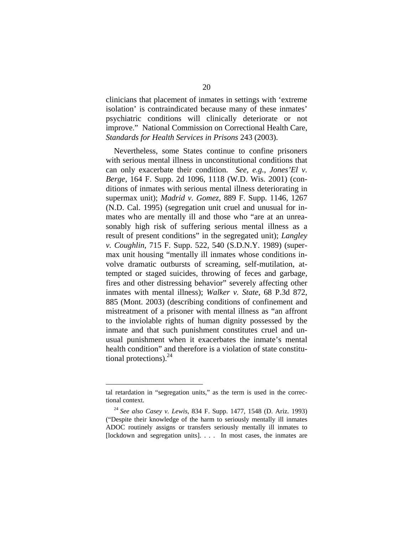clinicians that placement of inmates in settings with 'extreme isolation' is contraindicated because many of these inmates' psychiatric conditions will clinically deteriorate or not improve." National Commission on Correctional Health Care, *Standards for Health Services in Prisons* 243 (2003).

Nevertheless, some States continue to confine prisoners with serious mental illness in unconstitutional conditions that can only exacerbate their condition. *See, e.g.*, *Jones'El v. Berge*, 164 F. Supp. 2d 1096, 1118 (W.D. Wis. 2001) (conditions of inmates with serious mental illness deteriorating in supermax unit); *Madrid v. Gomez*, 889 F. Supp. 1146, 1267 (N.D. Cal. 1995) (segregation unit cruel and unusual for inmates who are mentally ill and those who "are at an unreasonably high risk of suffering serious mental illness as a result of present conditions" in the segregated unit); *Langley v. Coughlin*, 715 F. Supp. 522, 540 (S.D.N.Y. 1989) (supermax unit housing "mentally ill inmates whose conditions involve dramatic outbursts of screaming, self-mutilation, attempted or staged suicides, throwing of feces and garbage, fires and other distressing behavior" severely affecting other inmates with mental illness); *Walker v. State,* 68 P.3d 872, 885 (Mont. 2003) (describing conditions of confinement and mistreatment of a prisoner with mental illness as "an affront to the inviolable rights of human dignity possessed by the inmate and that such punishment constitutes cruel and unusual punishment when it exacerbates the inmate's mental health condition" and therefore is a violation of state constitutional protections). $^{24}$  $^{24}$  $^{24}$ 

1

tal retardation in "segregation units," as the term is used in the correctional context.

<span id="page-30-0"></span><sup>24</sup> *See also Casey v. Lewis*, 834 F. Supp. 1477, 1548 (D. Ariz. 1993) ("Despite their knowledge of the harm to seriously mentally ill inmates ADOC routinely assigns or transfers seriously mentally ill inmates to [lockdown and segregation units]. . . . In most cases, the inmates are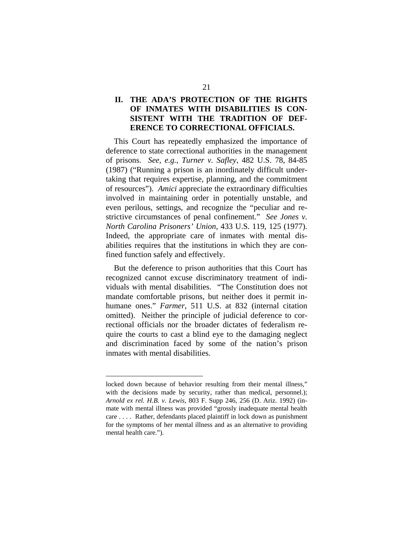## **II. THE ADA'S PROTECTION OF THE RIGHTS OF INMATES WITH DISABILITIES IS CON-SISTENT WITH THE TRADITION OF DEF-ERENCE TO CORRECTIONAL OFFICIALS.**

This Court has repeatedly emphasized the importance of deference to state correctional authorities in the management of prisons. *See, e.g.*, *Turner v. Safley*, 482 U.S. 78, 84-85 (1987) ("Running a prison is an inordinately difficult undertaking that requires expertise, planning, and the commitment of resources"). *Amici* appreciate the extraordinary difficulties involved in maintaining order in potentially unstable, and even perilous, settings, and recognize the "peculiar and restrictive circumstances of penal confinement." *See Jones v. North Carolina Prisoners' Union*, 433 U.S. 119, 125 (1977). Indeed, the appropriate care of inmates with mental disabilities requires that the institutions in which they are confined function safely and effectively.

But the deference to prison authorities that this Court has recognized cannot excuse discriminatory treatment of individuals with mental disabilities. "The Constitution does not mandate comfortable prisons, but neither does it permit inhumane ones." *Farmer*, 511 U.S. at 832 (internal citation omitted). Neither the principle of judicial deference to correctional officials nor the broader dictates of federalism require the courts to cast a blind eye to the damaging neglect and discrimination faced by some of the nation's prison inmates with mental disabilities.

1

locked down because of behavior resulting from their mental illness," with the decisions made by security, rather than medical, personnel.); *Arnold ex rel. H.B. v. Lewis*, 803 F. Supp 246, 256 (D. Ariz. 1992) (inmate with mental illness was provided "grossly inadequate mental health care . . . . Rather, defendants placed plaintiff in lock down as punishment for the symptoms of her mental illness and as an alternative to providing mental health care.").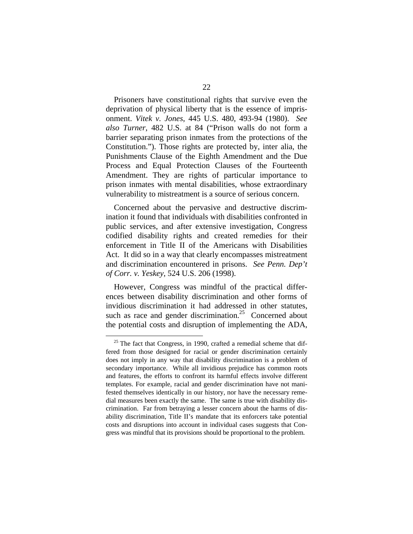Prisoners have constitutional rights that survive even the deprivation of physical liberty that is the essence of imprisonment. *Vitek v. Jones*, 445 U.S. 480, 493-94 (1980). *See also Turner*, 482 U.S. at 84 ("Prison walls do not form a barrier separating prison inmates from the protections of the Constitution."). Those rights are protected by, inter alia, the Punishments Clause of the Eighth Amendment and the Due Process and Equal Protection Clauses of the Fourteenth Amendment. They are rights of particular importance to prison inmates with mental disabilities, whose extraordinary vulnerability to mistreatment is a source of serious concern.

Concerned about the pervasive and destructive discrimination it found that individuals with disabilities confronted in public services, and after extensive investigation, Congress codified disability rights and created remedies for their enforcement in Title II of the Americans with Disabilities Act. It did so in a way that clearly encompasses mistreatment and discrimination encountered in prisons. *See Penn. Dep't of Corr. v. Yeskey*, 524 U.S. 206 (1998).

However, Congress was mindful of the practical differences between disability discrimination and other forms of invidious discrimination it had addressed in other statutes, such as race and gender discrimination.<sup>25</sup> Concerned about the potential costs and disruption of implementing the ADA,

<span id="page-32-0"></span> $25$  The fact that Congress, in 1990, crafted a remedial scheme that differed from those designed for racial or gender discrimination certainly does not imply in any way that disability discrimination is a problem of secondary importance. While all invidious prejudice has common roots and features, the efforts to confront its harmful effects involve different templates. For example, racial and gender discrimination have not manifested themselves identically in our history, nor have the necessary remedial measures been exactly the same. The same is true with disability discrimination. Far from betraying a lesser concern about the harms of disability discrimination, Title II's mandate that its enforcers take potential costs and disruptions into account in individual cases suggests that Congress was mindful that its provisions should be proportional to the problem.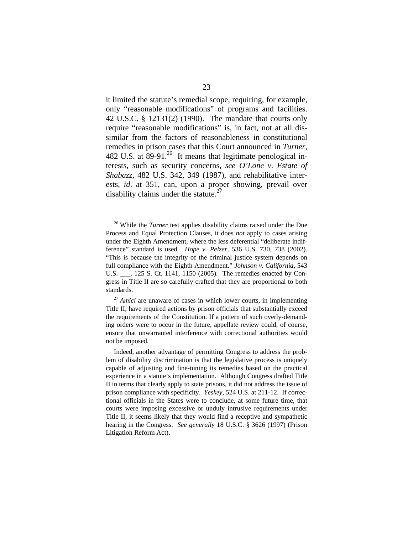it limited the statute's remedial scope, requiring, for example, only "reasonable modifications" of programs and facilities. 42 U.S.C. § 12131(2) (1990). The mandate that courts only require "reasonable modifications" is, in fact, not at all dissimilar from the factors of reasonableness in constitutional remedies in prison cases that this Court announced in *Turner*, 482 U.S. at 89-91.<sup>26</sup> It means that legitimate penological interests, such as security concerns, *see O'Lone v. Estate of Shabazz*, 482 U.S. 342, 349 (1987), and rehabilitative interests, *id*. at 351, can, upon a proper showing, prevail over disability claims under the statute.<sup>2</sup>

<span id="page-33-0"></span><sup>&</sup>lt;sup>26</sup> While the *Turner* test applies disability claims raised under the Due Process and Equal Protection Clauses, it does *not* apply to cases arising under the Eighth Amendment, where the less deferential "deliberate indifference" standard is used. *Hope v. Pelzer*, 536 U.S. 730, 738 (2002). "This is because the integrity of the criminal justice system depends on full compliance with the Eighth Amendment." *Johnson v. California*, 543 U.S. \_\_\_, 125 S. Ct. 1141, 1150 (2005). The remedies enacted by Congress in Title II are so carefully crafted that they are proportional to both standards.

<span id="page-33-1"></span><sup>&</sup>lt;sup>27</sup> *Amici* are unaware of cases in which lower courts, in implementing Title II, have required actions by prison officials that substantially exceed the requirements of the Constitution. If a pattern of such overly-demanding orders were to occur in the future, appellate review could, of course, ensure that unwarranted interference with correctional authorities would not be imposed.

Indeed, another advantage of permitting Congress to address the problem of disability discrimination is that the legislative process is uniquely capable of adjusting and fine-tuning its remedies based on the practical experience in a statute's implementation. Although Congress drafted Title II in terms that clearly apply to state prisons, it did not address the issue of prison compliance with specificity. *Yeskey*, 524 U.S. at 211-12. If correctional officials in the States were to conclude, at some future time, that courts were imposing excessive or unduly intrusive requirements under Title II, it seems likely that they would find a receptive and sympathetic hearing in the Congress. *See generally* 18 U.S.C. § 3626 (1997) (Prison Litigation Reform Act).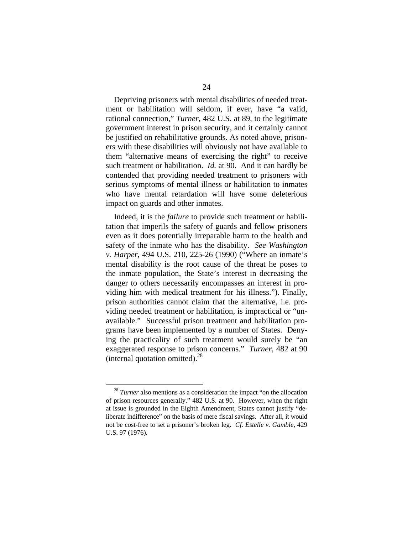Depriving prisoners with mental disabilities of needed treatment or habilitation will seldom, if ever, have "a valid, rational connection," *Turner*, 482 U.S. at 89, to the legitimate government interest in prison security, and it certainly cannot be justified on rehabilitative grounds. As noted above, prisoners with these disabilities will obviously not have available to them "alternative means of exercising the right" to receive such treatment or habilitation. *Id.* at 90. And it can hardly be contended that providing needed treatment to prisoners with serious symptoms of mental illness or habilitation to inmates who have mental retardation will have some deleterious impact on guards and other inmates.

Indeed, it is the *failure* to provide such treatment or habilitation that imperils the safety of guards and fellow prisoners even as it does potentially irreparable harm to the health and safety of the inmate who has the disability. *See Washington v. Harper*, 494 U.S. 210, 225-26 (1990) ("Where an inmate's mental disability is the root cause of the threat he poses to the inmate population, the State's interest in decreasing the danger to others necessarily encompasses an interest in providing him with medical treatment for his illness."). Finally, prison authorities cannot claim that the alternative, i.e. providing needed treatment or habilitation, is impractical or "unavailable." Successful prison treatment and habilitation programs have been implemented by a number of States. Denying the practicality of such treatment would surely be "an exaggerated response to prison concerns." *Turner*, 482 at 90 (internal quotation omitted). $^{28}$  $^{28}$  $^{28}$ 

<span id="page-34-0"></span><sup>&</sup>lt;sup>28</sup> *Turner* also mentions as a consideration the impact "on the allocation" of prison resources generally." 482 U.S. at 90. However, when the right at issue is grounded in the Eighth Amendment, States cannot justify "deliberate indifference" on the basis of mere fiscal savings. After all, it would not be cost-free to set a prisoner's broken leg. *Cf. Estelle v. Gamble*, 429 U.S. 97 (1976)*.*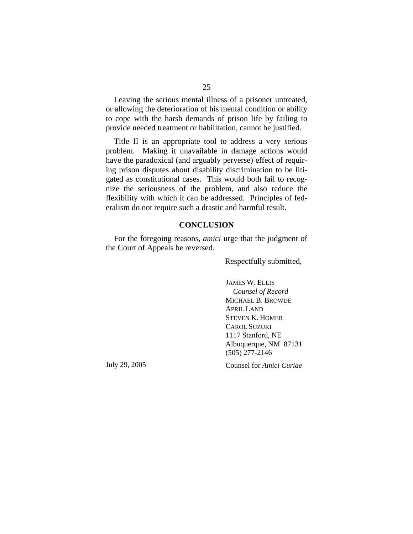Leaving the serious mental illness of a prisoner untreated, or allowing the deterioration of his mental condition or ability to cope with the harsh demands of prison life by failing to provide needed treatment or habilitation, cannot be justified.

Title II is an appropriate tool to address a very serious problem. Making it unavailable in damage actions would have the paradoxical (and arguably perverse) effect of requiring prison disputes about disability discrimination to be litigated as constitutional cases. This would both fail to recognize the seriousness of the problem, and also reduce the flexibility with which it can be addressed. Principles of federalism do not require such a drastic and harmful result.

#### **CONCLUSION**

For the foregoing reasons, *amici* urge that the judgment of the Court of Appeals be reversed.

Respectfully submitted,

JAMES W. ELLIS *Counsel of Record*  MICHAEL B. BROWDE APRIL LAND STEVEN K. HOMER CAROL SUZUKI 1117 Stanford, NE Albuquerque, NM 87131 (505) 277-2146

July 29, 2005

Counsel for *Amici Curiae*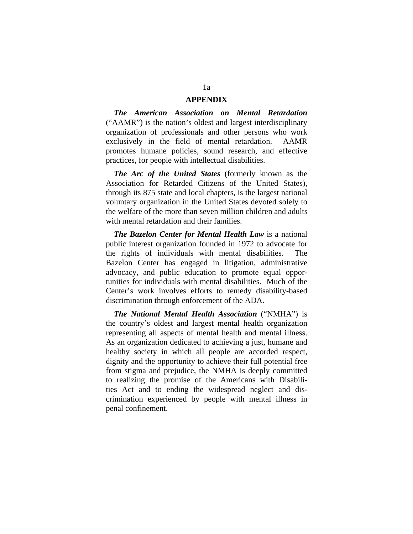#### **APPENDIX**

*The American Association on Mental Retardation* ("AAMR") is the nation's oldest and largest interdisciplinary organization of professionals and other persons who work exclusively in the field of mental retardation. AAMR promotes humane policies, sound research, and effective practices, for people with intellectual disabilities.

*The Arc of the United States* (formerly known as the Association for Retarded Citizens of the United States), through its 875 state and local chapters, is the largest national voluntary organization in the United States devoted solely to the welfare of the more than seven million children and adults with mental retardation and their families.

*The Bazelon Center for Mental Health Law* is a national public interest organization founded in 1972 to advocate for the rights of individuals with mental disabilities. The Bazelon Center has engaged in litigation, administrative advocacy, and public education to promote equal opportunities for individuals with mental disabilities. Much of the Center's work involves efforts to remedy disability-based discrimination through enforcement of the ADA.

*The National Mental Health Association* ("NMHA") is the country's oldest and largest mental health organization representing all aspects of mental health and mental illness. As an organization dedicated to achieving a just, humane and healthy society in which all people are accorded respect, dignity and the opportunity to achieve their full potential free from stigma and prejudice, the NMHA is deeply committed to realizing the promise of the Americans with Disabilities Act and to ending the widespread neglect and discrimination experienced by people with mental illness in penal confinement.